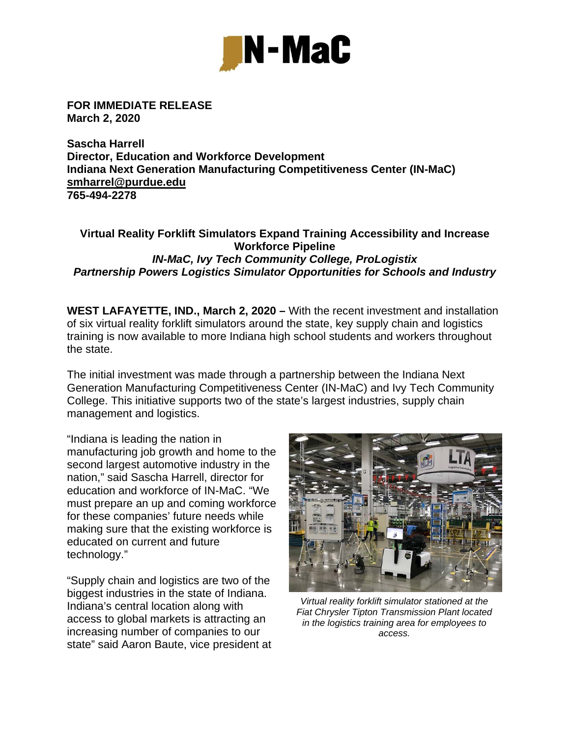

**FOR IMMEDIATE RELEASE March 2, 2020** 

**Sascha Harrell Director, Education and Workforce Development Indiana Next Generation Manufacturing Competitiveness Center (IN-MaC) smharrel@purdue.edu 765-494-2278** 

## **Virtual Reality Forklift Simulators Expand Training Accessibility and Increase Workforce Pipeline**  *IN-MaC, Ivy Tech Community College, ProLogistix Partnership Powers Logistics Simulator Opportunities for Schools and Industry*

**WEST LAFAYETTE, IND., March 2, 2020 –** With the recent investment and installation of six virtual reality forklift simulators around the state, key supply chain and logistics training is now available to more Indiana high school students and workers throughout the state.

The initial investment was made through a partnership between the Indiana Next Generation Manufacturing Competitiveness Center (IN-MaC) and Ivy Tech Community College. This initiative supports two of the state's largest industries, supply chain management and logistics.

"Indiana is leading the nation in manufacturing job growth and home to the second largest automotive industry in the nation," said Sascha Harrell, director for education and workforce of IN-MaC. "We must prepare an up and coming workforce for these companies' future needs while making sure that the existing workforce is educated on current and future technology."

"Supply chain and logistics are two of the biggest industries in the state of Indiana. Indiana's central location along with access to global markets is attracting an increasing number of companies to our state" said Aaron Baute, vice president at



*Virtual reality forklift simulator stationed at the Fiat Chrysler Tipton Transmission Plant located in the logistics training area for employees to access.*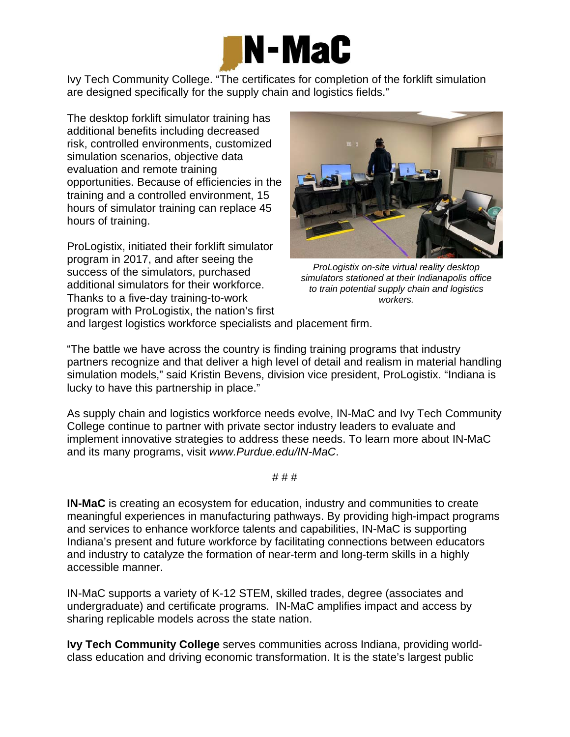

Ivy Tech Community College. "The certificates for completion of the forklift simulation are designed specifically for the supply chain and logistics fields."

The desktop forklift simulator training has additional benefits including decreased risk, controlled environments, customized simulation scenarios, objective data evaluation and remote training opportunities. Because of efficiencies in the training and a controlled environment, 15 hours of simulator training can replace 45 hours of training.

ProLogistix, initiated their forklift simulator program in 2017, and after seeing the success of the simulators, purchased additional simulators for their workforce. Thanks to a five-day training-to-work program with ProLogistix, the nation's first



*ProLogistix on-site virtual reality desktop simulators stationed at their Indianapolis office to train potential supply chain and logistics workers.* 

and largest logistics workforce specialists and placement firm.

"The battle we have across the country is finding training programs that industry partners recognize and that deliver a high level of detail and realism in material handling simulation models," said Kristin Bevens, division vice president, ProLogistix. "Indiana is lucky to have this partnership in place."

As supply chain and logistics workforce needs evolve, IN-MaC and Ivy Tech Community College continue to partner with private sector industry leaders to evaluate and implement innovative strategies to address these needs. To learn more about IN-MaC and its many programs, visit *www.Purdue.edu/IN-MaC*.

# # #

**IN-MaC** is creating an ecosystem for education, industry and communities to create meaningful experiences in manufacturing pathways. By providing high-impact programs and services to enhance workforce talents and capabilities, IN-MaC is supporting Indiana's present and future workforce by facilitating connections between educators and industry to catalyze the formation of near-term and long-term skills in a highly accessible manner.

IN-MaC supports a variety of K-12 STEM, skilled trades, degree (associates and undergraduate) and certificate programs. IN-MaC amplifies impact and access by sharing replicable models across the state nation.

**Ivy Tech Community College** serves communities across Indiana, providing worldclass education and driving economic transformation. It is the state's largest public